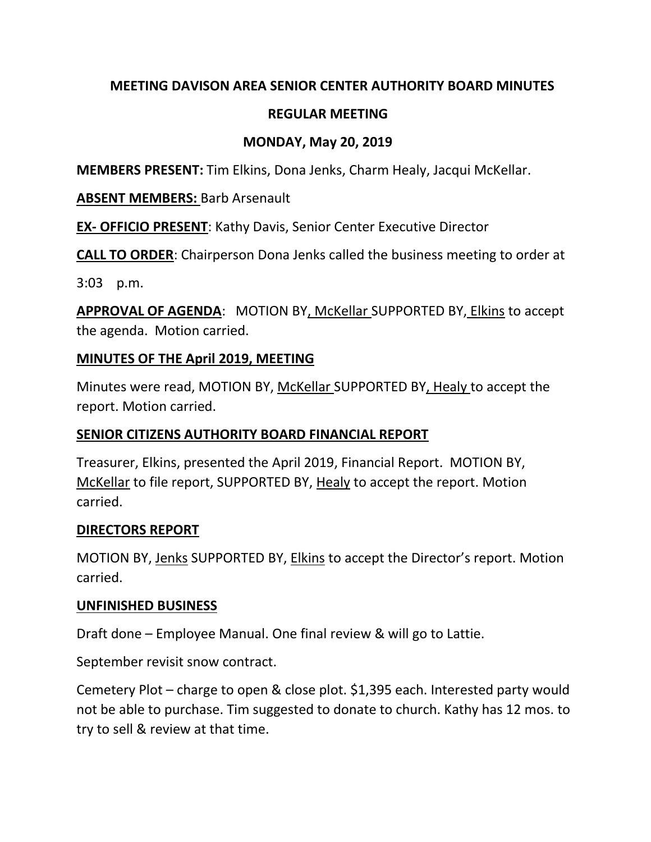### **MEETING DAVISON AREA SENIOR CENTER AUTHORITY BOARD MINUTES**

## **REGULAR MEETING**

## **MONDAY, May 20, 2019**

**MEMBERS PRESENT:** Tim Elkins, Dona Jenks, Charm Healy, Jacqui McKellar.

#### **ABSENT MEMBERS:** Barb Arsenault

**EX- OFFICIO PRESENT**: Kathy Davis, Senior Center Executive Director

**CALL TO ORDER**: Chairperson Dona Jenks called the business meeting to order at

3:03 p.m.

**APPROVAL OF AGENDA**: MOTION BY, McKellar SUPPORTED BY, Elkins to accept the agenda. Motion carried.

### **MINUTES OF THE April 2019, MEETING**

Minutes were read, MOTION BY, McKellar SUPPORTED BY, Healy to accept the report. Motion carried.

### **SENIOR CITIZENS AUTHORITY BOARD FINANCIAL REPORT**

Treasurer, Elkins, presented the April 2019, Financial Report. MOTION BY, McKellar to file report, SUPPORTED BY, Healy to accept the report. Motion carried.

### **DIRECTORS REPORT**

MOTION BY, Jenks SUPPORTED BY, Elkins to accept the Director's report. Motion carried.

### **UNFINISHED BUSINESS**

Draft done – Employee Manual. One final review & will go to Lattie.

September revisit snow contract.

Cemetery Plot – charge to open & close plot. \$1,395 each. Interested party would not be able to purchase. Tim suggested to donate to church. Kathy has 12 mos. to try to sell & review at that time.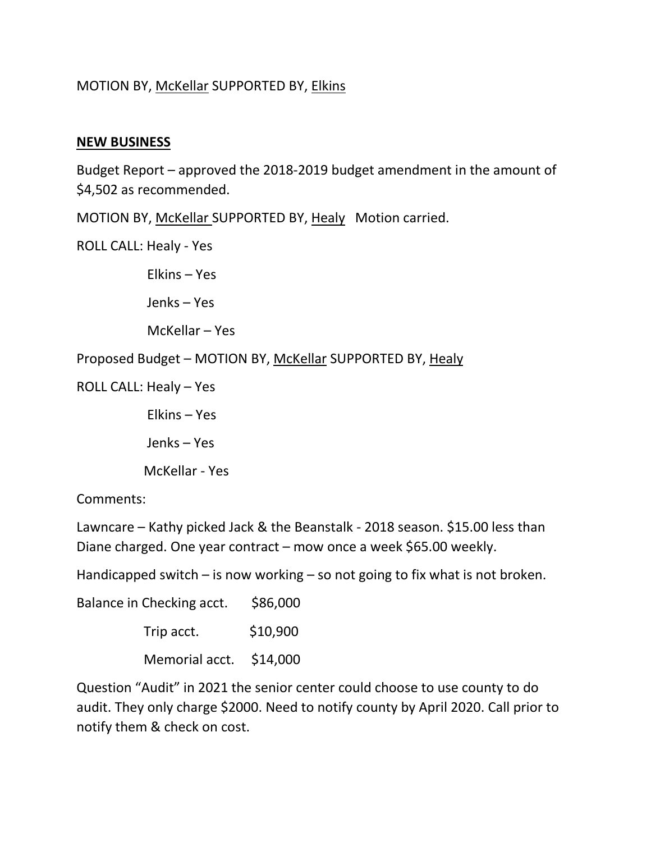# MOTION BY, McKellar SUPPORTED BY, Elkins

#### **NEW BUSINESS**

Budget Report – approved the 2018-2019 budget amendment in the amount of \$4,502 as recommended.

MOTION BY, McKellar SUPPORTED BY, Healy Motion carried.

ROLL CALL: Healy - Yes

Elkins – Yes

Jenks – Yes

McKellar – Yes

Proposed Budget – MOTION BY, McKellar SUPPORTED BY, Healy

ROLL CALL: Healy – Yes

Elkins – Yes

Jenks – Yes

McKellar - Yes

Comments:

Lawncare – Kathy picked Jack & the Beanstalk - 2018 season. \$15.00 less than Diane charged. One year contract – mow once a week \$65.00 weekly.

Handicapped switch – is now working – so not going to fix what is not broken.

Balance in Checking acct. \$86,000  $Trip$  acct.  $$10,900$ Memorial acct. \$14,000

Question "Audit" in 2021 the senior center could choose to use county to do audit. They only charge \$2000. Need to notify county by April 2020. Call prior to notify them & check on cost.